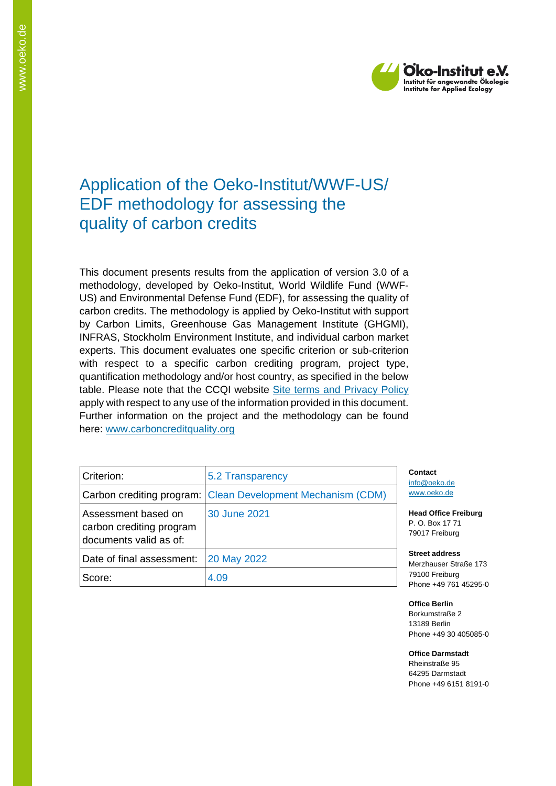

# Application of the Oeko-Institut/WWF-US/ EDF methodology for assessing the quality of carbon credits

This document presents results from the application of version 3.0 of a methodology, developed by Oeko-Institut, World Wildlife Fund (WWF-US) and Environmental Defense Fund (EDF), for assessing the quality of carbon credits. The methodology is applied by Oeko-Institut with support by Carbon Limits, Greenhouse Gas Management Institute (GHGMI), INFRAS, Stockholm Environment Institute, and individual carbon market experts. This document evaluates one specific criterion or sub-criterion with respect to a specific carbon crediting program, project type, quantification methodology and/or host country, as specified in the below table. Please note that the CCQI website [Site terms and Privacy Policy](https://carboncreditquality.org/terms.html) apply with respect to any use of the information provided in this document. Further information on the project and the methodology can be found here: [www.carboncreditquality.org](http://www.carboncreditquality.org/)

| Criterion:                                                                | 5.2 Transparency                                            |
|---------------------------------------------------------------------------|-------------------------------------------------------------|
|                                                                           | Carbon crediting program: Clean Development Mechanism (CDM) |
| Assessment based on<br>carbon crediting program<br>documents valid as of: | 30 June 2021                                                |
| Date of final assessment:                                                 | 20 May 2022                                                 |
| Score:                                                                    | 4.09                                                        |

**Contact** [info@oeko.de](mailto:info@oeko.de) [www.oeko.de](http://www.oeko.de/)

**Head Office Freiburg** P. O. Box 17 71 79017 Freiburg

**Street address** Merzhauser Straße 173 79100 Freiburg Phone +49 761 45295-0

**Office Berlin** Borkumstraße 2 13189 Berlin Phone +49 30 405085-0

**Office Darmstadt** Rheinstraße 95 64295 Darmstadt Phone +49 6151 8191-0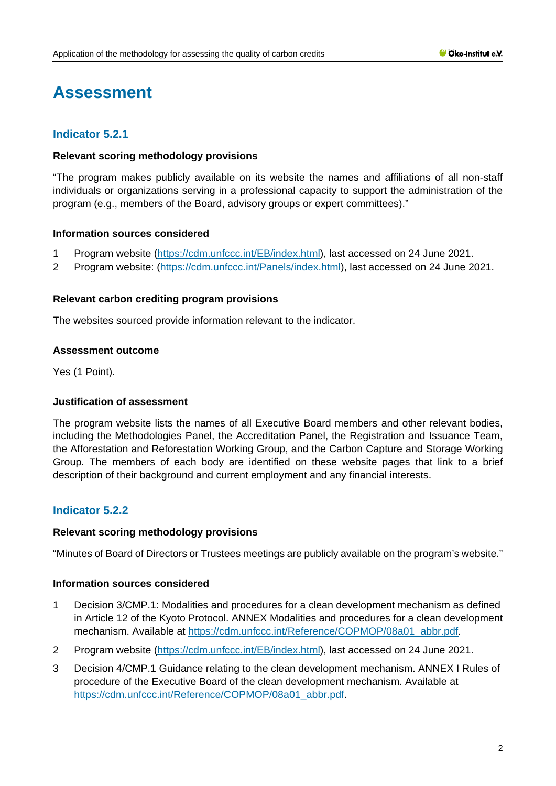# **Assessment**

# **Indicator 5.2.1**

### **Relevant scoring methodology provisions**

"The program makes publicly available on its website the names and affiliations of all non-staff individuals or organizations serving in a professional capacity to support the administration of the program (e.g., members of the Board, advisory groups or expert committees)."

### **Information sources considered**

- 1 Program website [\(https://cdm.unfccc.int/EB/index.html\)](https://cdm.unfccc.int/EB/index.html), last accessed on 24 June 2021.
- 2 Program website: [\(https://cdm.unfccc.int/Panels/index.html\)](https://cdm.unfccc.int/Panels/index.html), last accessed on 24 June 2021.

### **Relevant carbon crediting program provisions**

The websites sourced provide information relevant to the indicator.

### **Assessment outcome**

Yes (1 Point).

# **Justification of assessment**

The program website lists the names of all Executive Board members and other relevant bodies, including the Methodologies Panel, the Accreditation Panel, the Registration and Issuance Team, the Afforestation and Reforestation Working Group, and the Carbon Capture and Storage Working Group. The members of each body are identified on these website pages that link to a brief description of their background and current employment and any financial interests.

# **Indicator 5.2.2**

## **Relevant scoring methodology provisions**

"Minutes of Board of Directors or Trustees meetings are publicly available on the program's website."

- 1 Decision 3/CMP.1: Modalities and procedures for a clean development mechanism as defined in Article 12 of the Kyoto Protocol. ANNEX Modalities and procedures for a clean development mechanism. Available at [https://cdm.unfccc.int/Reference/COPMOP/08a01\\_abbr.pdf.](https://cdm.unfccc.int/Reference/COPMOP/08a01_abbr.pdf)
- 2 Program website [\(https://cdm.unfccc.int/EB/index.html\)](https://cdm.unfccc.int/EB/index.html), last accessed on 24 June 2021.
- 3 Decision 4/CMP.1 Guidance relating to the clean development mechanism. ANNEX I Rules of procedure of the Executive Board of the clean development mechanism. Available at [https://cdm.unfccc.int/Reference/COPMOP/08a01\\_abbr.pdf.](https://cdm.unfccc.int/Reference/COPMOP/08a01_abbr.pdf)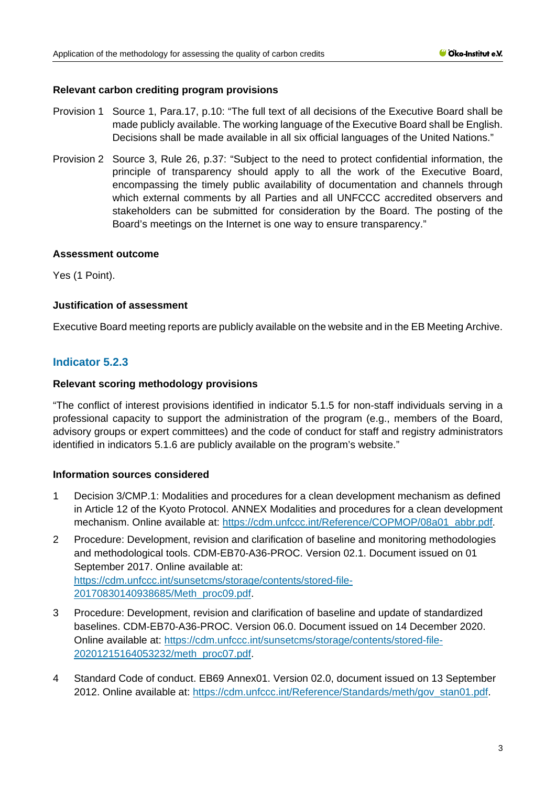### **Relevant carbon crediting program provisions**

- Provision 1 Source 1, Para.17, p.10: "The full text of all decisions of the Executive Board shall be made publicly available. The working language of the Executive Board shall be English. Decisions shall be made available in all six official languages of the United Nations."
- Provision 2 Source 3, Rule 26, p.37: "Subject to the need to protect confidential information, the principle of transparency should apply to all the work of the Executive Board, encompassing the timely public availability of documentation and channels through which external comments by all Parties and all UNFCCC accredited observers and stakeholders can be submitted for consideration by the Board. The posting of the Board's meetings on the Internet is one way to ensure transparency."

### **Assessment outcome**

Yes (1 Point).

### **Justification of assessment**

Executive Board meeting reports are publicly available on the website and in the EB Meeting Archive.

# **Indicator 5.2.3**

### **Relevant scoring methodology provisions**

"The conflict of interest provisions identified in indicator 5.1.5 for non-staff individuals serving in a professional capacity to support the administration of the program (e.g., members of the Board, advisory groups or expert committees) and the code of conduct for staff and registry administrators identified in indicators 5.1.6 are publicly available on the program's website."

- 1 Decision 3/CMP.1: Modalities and procedures for a clean development mechanism as defined in Article 12 of the Kyoto Protocol. ANNEX Modalities and procedures for a clean development mechanism. Online available at: [https://cdm.unfccc.int/Reference/COPMOP/08a01\\_abbr.pdf.](https://cdm.unfccc.int/Reference/COPMOP/08a01_abbr.pdf)
- 2 Procedure: Development, revision and clarification of baseline and monitoring methodologies and methodological tools. CDM-EB70-A36-PROC. Version 02.1. Document issued on 01 September 2017. Online available at: [https://cdm.unfccc.int/sunsetcms/storage/contents/stored-file-](https://cdm.unfccc.int/sunsetcms/storage/contents/stored-file-20170830140938685/Meth_proc09.pdf)[20170830140938685/Meth\\_proc09.pdf.](https://cdm.unfccc.int/sunsetcms/storage/contents/stored-file-20170830140938685/Meth_proc09.pdf)
- 3 Procedure: Development, revision and clarification of baseline and update of standardized baselines. CDM-EB70-A36-PROC. Version 06.0. Document issued on 14 December 2020. Online available at: [https://cdm.unfccc.int/sunsetcms/storage/contents/stored-file-](https://cdm.unfccc.int/sunsetcms/storage/contents/stored-file-20201215164053232/meth_proc07.pdf)[20201215164053232/meth\\_proc07.pdf.](https://cdm.unfccc.int/sunsetcms/storage/contents/stored-file-20201215164053232/meth_proc07.pdf)
- 4 Standard Code of conduct. EB69 Annex01. Version 02.0, document issued on 13 September 2012. Online available at: [https://cdm.unfccc.int/Reference/Standards/meth/gov\\_stan01.pdf.](https://cdm.unfccc.int/Reference/Standards/meth/gov_stan01.pdf)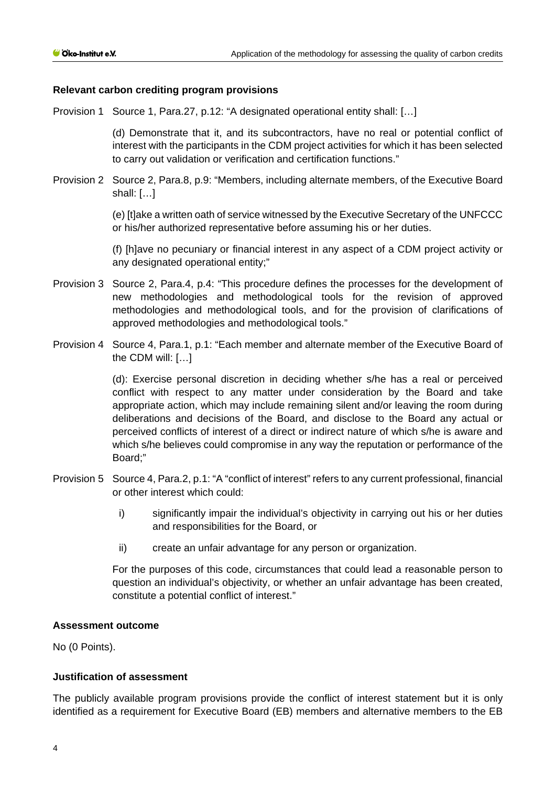## **Relevant carbon crediting program provisions**

Provision 1 Source 1, Para.27, p.12: "A designated operational entity shall: […]

(d) Demonstrate that it, and its subcontractors, have no real or potential conflict of interest with the participants in the CDM project activities for which it has been selected to carry out validation or verification and certification functions."

Provision 2 Source 2, Para.8, p.9: "Members, including alternate members, of the Executive Board shall: […]

> (e) [t]ake a written oath of service witnessed by the Executive Secretary of the UNFCCC or his/her authorized representative before assuming his or her duties.

> (f) [h]ave no pecuniary or financial interest in any aspect of a CDM project activity or any designated operational entity;"

- Provision 3 Source 2, Para.4, p.4: "This procedure defines the processes for the development of new methodologies and methodological tools for the revision of approved methodologies and methodological tools, and for the provision of clarifications of approved methodologies and methodological tools."
- Provision 4 Source 4, Para.1, p.1: "Each member and alternate member of the Executive Board of the CDM will: […]

(d): Exercise personal discretion in deciding whether s/he has a real or perceived conflict with respect to any matter under consideration by the Board and take appropriate action, which may include remaining silent and/or leaving the room during deliberations and decisions of the Board, and disclose to the Board any actual or perceived conflicts of interest of a direct or indirect nature of which s/he is aware and which s/he believes could compromise in any way the reputation or performance of the Board;"

- Provision 5 Source 4, Para.2, p.1: "A "conflict of interest" refers to any current professional, financial or other interest which could:
	- i) significantly impair the individual's objectivity in carrying out his or her duties and responsibilities for the Board, or
	- ii) create an unfair advantage for any person or organization.

For the purposes of this code, circumstances that could lead a reasonable person to question an individual's objectivity, or whether an unfair advantage has been created, constitute a potential conflict of interest."

#### **Assessment outcome**

No (0 Points).

# **Justification of assessment**

The publicly available program provisions provide the conflict of interest statement but it is only identified as a requirement for Executive Board (EB) members and alternative members to the EB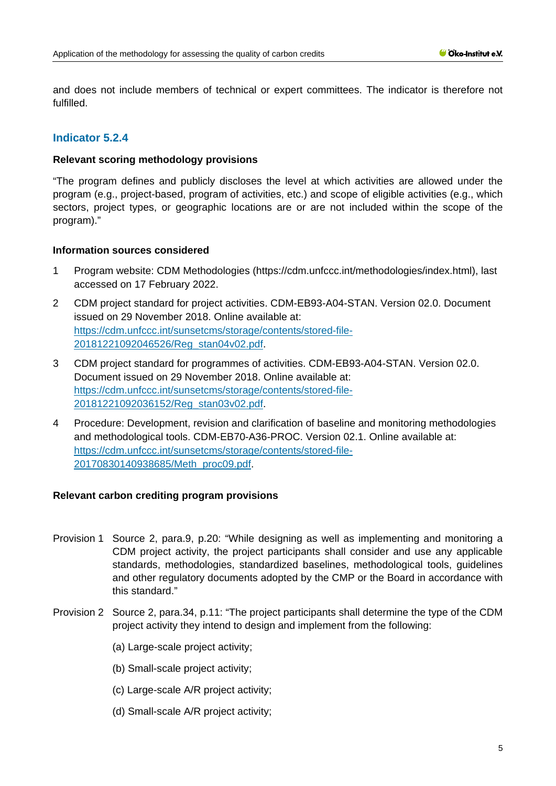and does not include members of technical or expert committees. The indicator is therefore not fulfilled.

# **Indicator 5.2.4**

#### **Relevant scoring methodology provisions**

"The program defines and publicly discloses the level at which activities are allowed under the program (e.g., project-based, program of activities, etc.) and scope of eligible activities (e.g., which sectors, project types, or geographic locations are or are not included within the scope of the program)."

### **Information sources considered**

- 1 Program website: CDM Methodologies (https://cdm.unfccc.int/methodologies/index.html), last accessed on 17 February 2022.
- 2 CDM project standard for project activities. CDM-EB93-A04-STAN. Version 02.0. Document issued on 29 November 2018. Online available at: [https://cdm.unfccc.int/sunsetcms/storage/contents/stored-file-](https://cdm.unfccc.int/sunsetcms/storage/contents/stored-file-20181221092046526/Reg_stan04v02.pdf)[20181221092046526/Reg\\_stan04v02.pdf.](https://cdm.unfccc.int/sunsetcms/storage/contents/stored-file-20181221092046526/Reg_stan04v02.pdf)
- 3 CDM project standard for programmes of activities. CDM-EB93-A04-STAN. Version 02.0. Document issued on 29 November 2018. Online available at: [https://cdm.unfccc.int/sunsetcms/storage/contents/stored-file-](https://cdm.unfccc.int/sunsetcms/storage/contents/stored-file-20181221092036152/Reg_stan03v02.pdf)[20181221092036152/Reg\\_stan03v02.pdf.](https://cdm.unfccc.int/sunsetcms/storage/contents/stored-file-20181221092036152/Reg_stan03v02.pdf)
- 4 Procedure: Development, revision and clarification of baseline and monitoring methodologies and methodological tools. CDM-EB70-A36-PROC. Version 02.1. Online available at: [https://cdm.unfccc.int/sunsetcms/storage/contents/stored-file-](https://cdm.unfccc.int/sunsetcms/storage/contents/stored-file-20170830140938685/Meth_proc09.pdf)[20170830140938685/Meth\\_proc09.pdf.](https://cdm.unfccc.int/sunsetcms/storage/contents/stored-file-20170830140938685/Meth_proc09.pdf)

# **Relevant carbon crediting program provisions**

- Provision 1 Source 2, para.9, p.20: "While designing as well as implementing and monitoring a CDM project activity, the project participants shall consider and use any applicable standards, methodologies, standardized baselines, methodological tools, guidelines and other regulatory documents adopted by the CMP or the Board in accordance with this standard."
- Provision 2 Source 2, para.34, p.11: "The project participants shall determine the type of the CDM project activity they intend to design and implement from the following:
	- (a) Large-scale project activity;
	- (b) Small-scale project activity;
	- (c) Large-scale A/R project activity;
	- (d) Small-scale A/R project activity;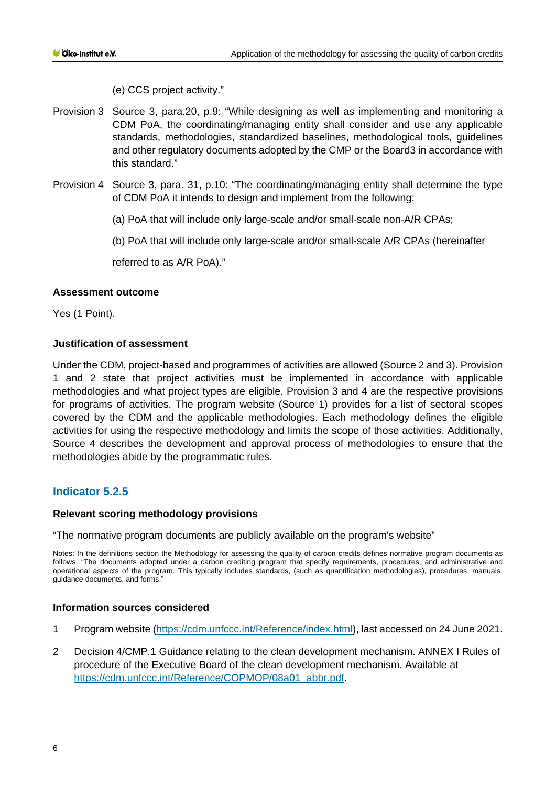(e) CCS project activity."

- Provision 3 Source 3, para.20, p.9: "While designing as well as implementing and monitoring a CDM PoA, the coordinating/managing entity shall consider and use any applicable standards, methodologies, standardized baselines, methodological tools, guidelines and other regulatory documents adopted by the CMP or the Board3 in accordance with this standard."
- Provision 4 Source 3, para. 31, p.10: "The coordinating/managing entity shall determine the type of CDM PoA it intends to design and implement from the following:
	- (a) PoA that will include only large-scale and/or small-scale non-A/R CPAs;
	- (b) PoA that will include only large-scale and/or small-scale A/R CPAs (hereinafter

referred to as A/R PoA)."

### **Assessment outcome**

Yes (1 Point).

### **Justification of assessment**

Under the CDM, project-based and programmes of activities are allowed (Source 2 and 3). Provision 1 and 2 state that project activities must be implemented in accordance with applicable methodologies and what project types are eligible. Provision 3 and 4 are the respective provisions for programs of activities. The program website (Source 1) provides for a list of sectoral scopes covered by the CDM and the applicable methodologies. Each methodology defines the eligible activities for using the respective methodology and limits the scope of those activities. Additionally, Source 4 describes the development and approval process of methodologies to ensure that the methodologies abide by the programmatic rules.

# **Indicator 5.2.5**

#### **Relevant scoring methodology provisions**

"The normative program documents are publicly available on the program's website"

Notes: In the definitions section the Methodology for assessing the quality of carbon credits defines normative program documents as follows: "The documents adopted under a carbon crediting program that specify requirements, procedures, and administrative and operational aspects of the program. This typically includes standards, (such as quantification methodologies), procedures, manuals, guidance documents, and forms."

- 1 Program website [\(https://cdm.unfccc.int/Reference/index.html\)](https://cdm.unfccc.int/Reference/index.html), last accessed on 24 June 2021.
- 2 Decision 4/CMP.1 Guidance relating to the clean development mechanism. ANNEX I Rules of procedure of the Executive Board of the clean development mechanism. Available at [https://cdm.unfccc.int/Reference/COPMOP/08a01\\_abbr.pdf.](https://cdm.unfccc.int/Reference/COPMOP/08a01_abbr.pdf)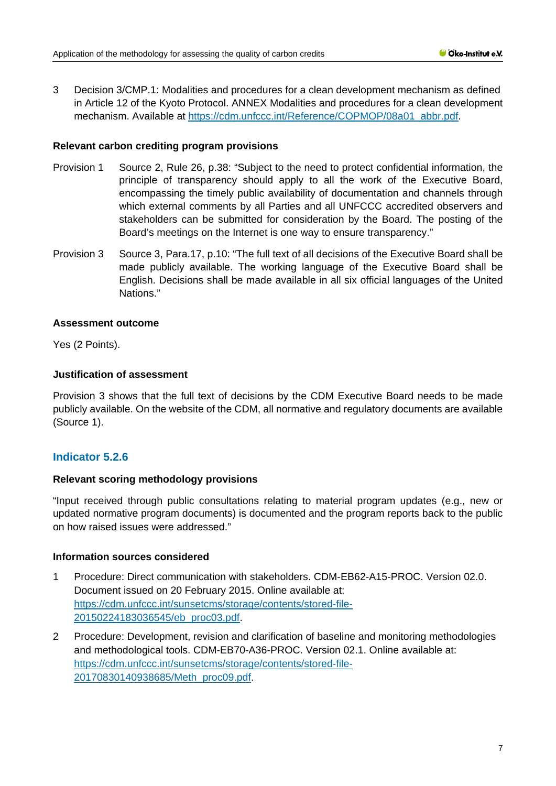3 Decision 3/CMP.1: Modalities and procedures for a clean development mechanism as defined in Article 12 of the Kyoto Protocol. ANNEX Modalities and procedures for a clean development mechanism. Available at [https://cdm.unfccc.int/Reference/COPMOP/08a01\\_abbr.pdf.](https://cdm.unfccc.int/Reference/COPMOP/08a01_abbr.pdf)

## **Relevant carbon crediting program provisions**

- Provision 1 Source 2, Rule 26, p.38: "Subject to the need to protect confidential information, the principle of transparency should apply to all the work of the Executive Board, encompassing the timely public availability of documentation and channels through which external comments by all Parties and all UNFCCC accredited observers and stakeholders can be submitted for consideration by the Board. The posting of the Board's meetings on the Internet is one way to ensure transparency."
- Provision 3 Source 3, Para.17, p.10: "The full text of all decisions of the Executive Board shall be made publicly available. The working language of the Executive Board shall be English. Decisions shall be made available in all six official languages of the United Nations."

### **Assessment outcome**

Yes (2 Points).

# **Justification of assessment**

Provision 3 shows that the full text of decisions by the CDM Executive Board needs to be made publicly available. On the website of the CDM, all normative and regulatory documents are available (Source 1).

# **Indicator 5.2.6**

# **Relevant scoring methodology provisions**

"Input received through public consultations relating to material program updates (e.g., new or updated normative program documents) is documented and the program reports back to the public on how raised issues were addressed."

- 1 Procedure: Direct communication with stakeholders. CDM-EB62-A15-PROC. Version 02.0. Document issued on 20 February 2015. Online available at: [https://cdm.unfccc.int/sunsetcms/storage/contents/stored-file-](https://cdm.unfccc.int/sunsetcms/storage/contents/stored-file-20150224183036545/eb_proc03.pdf)[20150224183036545/eb\\_proc03.pdf.](https://cdm.unfccc.int/sunsetcms/storage/contents/stored-file-20150224183036545/eb_proc03.pdf)
- 2 Procedure: Development, revision and clarification of baseline and monitoring methodologies and methodological tools. CDM-EB70-A36-PROC. Version 02.1. Online available at: [https://cdm.unfccc.int/sunsetcms/storage/contents/stored-file-](https://cdm.unfccc.int/sunsetcms/storage/contents/stored-file-20170830140938685/Meth_proc09.pdf)[20170830140938685/Meth\\_proc09.pdf.](https://cdm.unfccc.int/sunsetcms/storage/contents/stored-file-20170830140938685/Meth_proc09.pdf)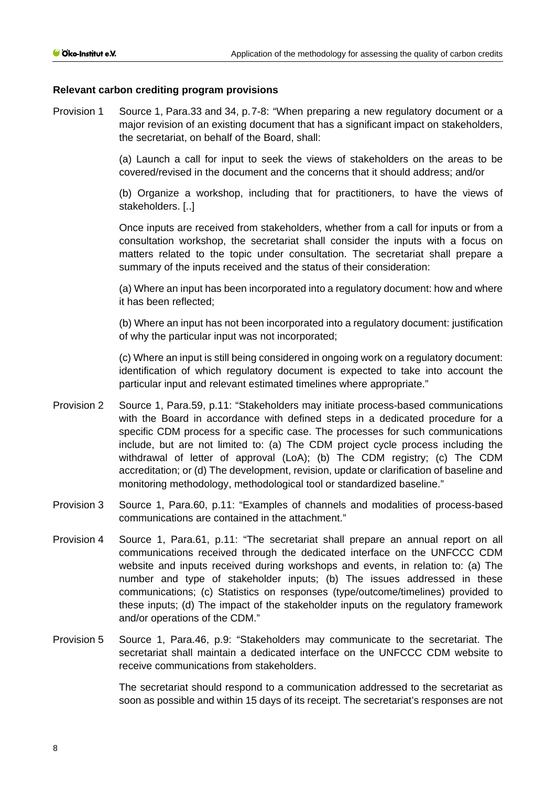#### **Relevant carbon crediting program provisions**

Provision 1 Source 1, Para.33 and 34, p.7-8: "When preparing a new regulatory document or a major revision of an existing document that has a significant impact on stakeholders, the secretariat, on behalf of the Board, shall:

> (a) Launch a call for input to seek the views of stakeholders on the areas to be covered/revised in the document and the concerns that it should address; and/or

> (b) Organize a workshop, including that for practitioners, to have the views of stakeholders. [..]

> Once inputs are received from stakeholders, whether from a call for inputs or from a consultation workshop, the secretariat shall consider the inputs with a focus on matters related to the topic under consultation. The secretariat shall prepare a summary of the inputs received and the status of their consideration:

> (a) Where an input has been incorporated into a regulatory document: how and where it has been reflected;

> (b) Where an input has not been incorporated into a regulatory document: justification of why the particular input was not incorporated;

> (c) Where an input is still being considered in ongoing work on a regulatory document: identification of which regulatory document is expected to take into account the particular input and relevant estimated timelines where appropriate."

- Provision 2 Source 1, Para.59, p.11: "Stakeholders may initiate process-based communications with the Board in accordance with defined steps in a dedicated procedure for a specific CDM process for a specific case. The processes for such communications include, but are not limited to: (a) The CDM project cycle process including the withdrawal of letter of approval (LoA); (b) The CDM registry; (c) The CDM accreditation; or (d) The development, revision, update or clarification of baseline and monitoring methodology, methodological tool or standardized baseline."
- Provision 3 Source 1, Para.60, p.11: "Examples of channels and modalities of process-based communications are contained in the attachment."
- Provision 4 Source 1, Para.61, p.11: "The secretariat shall prepare an annual report on all communications received through the dedicated interface on the UNFCCC CDM website and inputs received during workshops and events, in relation to: (a) The number and type of stakeholder inputs; (b) The issues addressed in these communications; (c) Statistics on responses (type/outcome/timelines) provided to these inputs; (d) The impact of the stakeholder inputs on the regulatory framework and/or operations of the CDM."
- Provision 5 Source 1, Para.46, p.9: "Stakeholders may communicate to the secretariat. The secretariat shall maintain a dedicated interface on the UNFCCC CDM website to receive communications from stakeholders.

The secretariat should respond to a communication addressed to the secretariat as soon as possible and within 15 days of its receipt. The secretariat's responses are not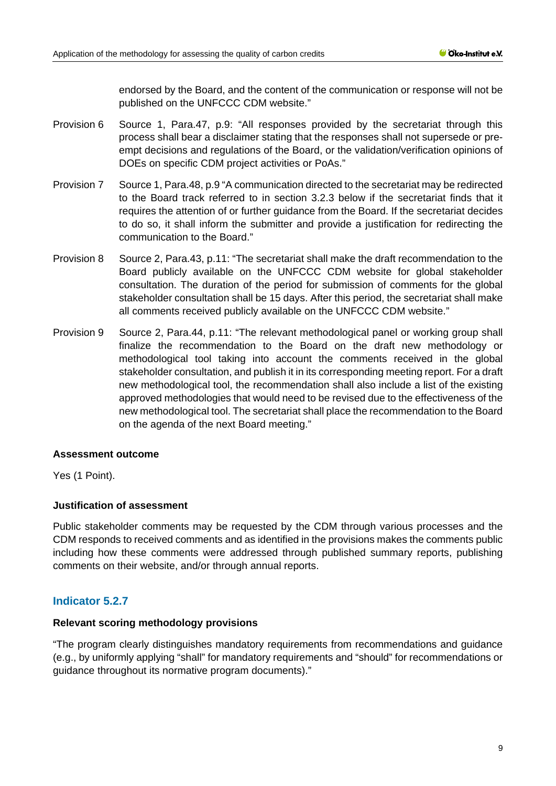endorsed by the Board, and the content of the communication or response will not be published on the UNFCCC CDM website."

- Provision 6 Source 1, Para.47, p.9: "All responses provided by the secretariat through this process shall bear a disclaimer stating that the responses shall not supersede or preempt decisions and regulations of the Board, or the validation/verification opinions of DOEs on specific CDM project activities or PoAs."
- Provision 7 Source 1, Para.48, p.9 "A communication directed to the secretariat may be redirected to the Board track referred to in section 3.2.3 below if the secretariat finds that it requires the attention of or further guidance from the Board. If the secretariat decides to do so, it shall inform the submitter and provide a justification for redirecting the communication to the Board."
- Provision 8 Source 2, Para.43, p.11: "The secretariat shall make the draft recommendation to the Board publicly available on the UNFCCC CDM website for global stakeholder consultation. The duration of the period for submission of comments for the global stakeholder consultation shall be 15 days. After this period, the secretariat shall make all comments received publicly available on the UNFCCC CDM website."
- Provision 9 Source 2, Para.44, p.11: "The relevant methodological panel or working group shall finalize the recommendation to the Board on the draft new methodology or methodological tool taking into account the comments received in the global stakeholder consultation, and publish it in its corresponding meeting report. For a draft new methodological tool, the recommendation shall also include a list of the existing approved methodologies that would need to be revised due to the effectiveness of the new methodological tool. The secretariat shall place the recommendation to the Board on the agenda of the next Board meeting."

#### **Assessment outcome**

Yes (1 Point).

#### **Justification of assessment**

Public stakeholder comments may be requested by the CDM through various processes and the CDM responds to received comments and as identified in the provisions makes the comments public including how these comments were addressed through published summary reports, publishing comments on their website, and/or through annual reports.

# **Indicator 5.2.7**

#### **Relevant scoring methodology provisions**

"The program clearly distinguishes mandatory requirements from recommendations and guidance (e.g., by uniformly applying "shall" for mandatory requirements and "should" for recommendations or guidance throughout its normative program documents)."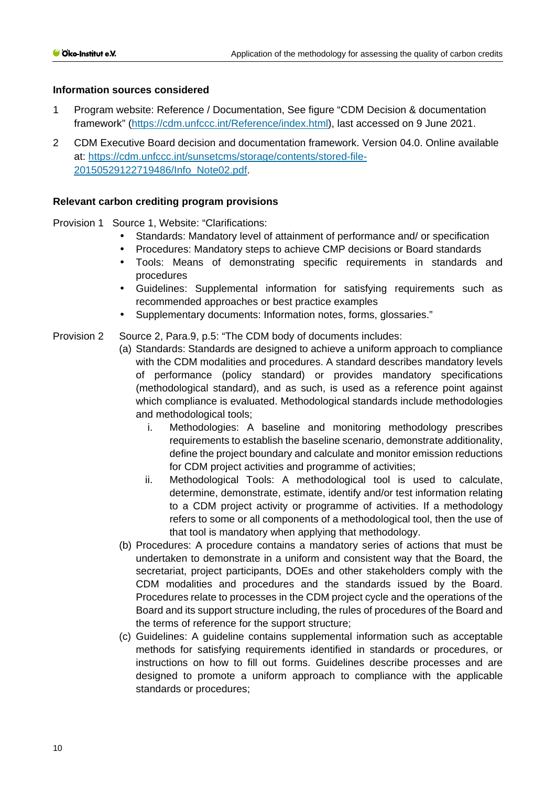## **Information sources considered**

- 1 Program website: Reference / Documentation, See figure "CDM Decision & documentation framework" [\(https://cdm.unfccc.int/Reference/index.html\)](https://cdm.unfccc.int/Reference/index.html), last accessed on 9 June 2021.
- 2 CDM Executive Board decision and documentation framework. Version 04.0. Online available at: [https://cdm.unfccc.int/sunsetcms/storage/contents/stored-file-](https://cdm.unfccc.int/sunsetcms/storage/contents/stored-file-20150529122719486/Info_Note02.pdf)[20150529122719486/Info\\_Note02.pdf.](https://cdm.unfccc.int/sunsetcms/storage/contents/stored-file-20150529122719486/Info_Note02.pdf)

### **Relevant carbon crediting program provisions**

Provision 1 Source 1, Website: "Clarifications:

- Standards: Mandatory level of attainment of performance and/ or specification
- Procedures: Mandatory steps to achieve CMP decisions or Board standards
- Tools: Means of demonstrating specific requirements in standards and procedures
- Guidelines: Supplemental information for satisfying requirements such as  $\mathcal{L}^{\text{max}}$ recommended approaches or best practice examples
- Supplementary documents: Information notes, forms, glossaries."

Provision 2 Source 2, Para.9, p.5: "The CDM body of documents includes:

- (a) Standards: Standards are designed to achieve a uniform approach to compliance with the CDM modalities and procedures. A standard describes mandatory levels of performance (policy standard) or provides mandatory specifications (methodological standard), and as such, is used as a reference point against which compliance is evaluated. Methodological standards include methodologies and methodological tools;
	- i. Methodologies: A baseline and monitoring methodology prescribes requirements to establish the baseline scenario, demonstrate additionality, define the project boundary and calculate and monitor emission reductions for CDM project activities and programme of activities;
	- ii. Methodological Tools: A methodological tool is used to calculate, determine, demonstrate, estimate, identify and/or test information relating to a CDM project activity or programme of activities. If a methodology refers to some or all components of a methodological tool, then the use of that tool is mandatory when applying that methodology.
- (b) Procedures: A procedure contains a mandatory series of actions that must be undertaken to demonstrate in a uniform and consistent way that the Board, the secretariat, project participants, DOEs and other stakeholders comply with the CDM modalities and procedures and the standards issued by the Board. Procedures relate to processes in the CDM project cycle and the operations of the Board and its support structure including, the rules of procedures of the Board and the terms of reference for the support structure;
- (c) Guidelines: A guideline contains supplemental information such as acceptable methods for satisfying requirements identified in standards or procedures, or instructions on how to fill out forms. Guidelines describe processes and are designed to promote a uniform approach to compliance with the applicable standards or procedures;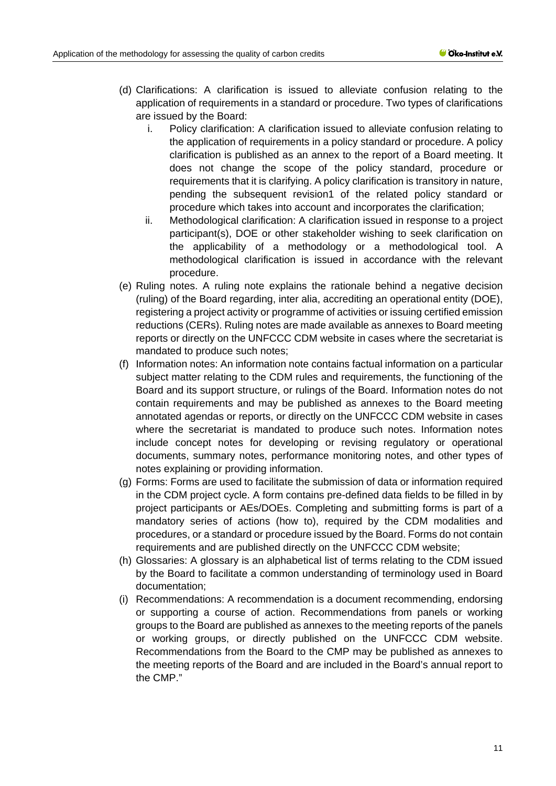- (d) Clarifications: A clarification is issued to alleviate confusion relating to the application of requirements in a standard or procedure. Two types of clarifications are issued by the Board:
	- i. Policy clarification: A clarification issued to alleviate confusion relating to the application of requirements in a policy standard or procedure. A policy clarification is published as an annex to the report of a Board meeting. It does not change the scope of the policy standard, procedure or requirements that it is clarifying. A policy clarification is transitory in nature, pending the subsequent revision1 of the related policy standard or procedure which takes into account and incorporates the clarification;
	- ii. Methodological clarification: A clarification issued in response to a project participant(s), DOE or other stakeholder wishing to seek clarification on the applicability of a methodology or a methodological tool. A methodological clarification is issued in accordance with the relevant procedure.
- (e) Ruling notes. A ruling note explains the rationale behind a negative decision (ruling) of the Board regarding, inter alia, accrediting an operational entity (DOE), registering a project activity or programme of activities or issuing certified emission reductions (CERs). Ruling notes are made available as annexes to Board meeting reports or directly on the UNFCCC CDM website in cases where the secretariat is mandated to produce such notes;
- (f) Information notes: An information note contains factual information on a particular subject matter relating to the CDM rules and requirements, the functioning of the Board and its support structure, or rulings of the Board. Information notes do not contain requirements and may be published as annexes to the Board meeting annotated agendas or reports, or directly on the UNFCCC CDM website in cases where the secretariat is mandated to produce such notes. Information notes include concept notes for developing or revising regulatory or operational documents, summary notes, performance monitoring notes, and other types of notes explaining or providing information.
- (g) Forms: Forms are used to facilitate the submission of data or information required in the CDM project cycle. A form contains pre-defined data fields to be filled in by project participants or AEs/DOEs. Completing and submitting forms is part of a mandatory series of actions (how to), required by the CDM modalities and procedures, or a standard or procedure issued by the Board. Forms do not contain requirements and are published directly on the UNFCCC CDM website;
- (h) Glossaries: A glossary is an alphabetical list of terms relating to the CDM issued by the Board to facilitate a common understanding of terminology used in Board documentation;
- (i) Recommendations: A recommendation is a document recommending, endorsing or supporting a course of action. Recommendations from panels or working groups to the Board are published as annexes to the meeting reports of the panels or working groups, or directly published on the UNFCCC CDM website. Recommendations from the Board to the CMP may be published as annexes to the meeting reports of the Board and are included in the Board's annual report to the CMP."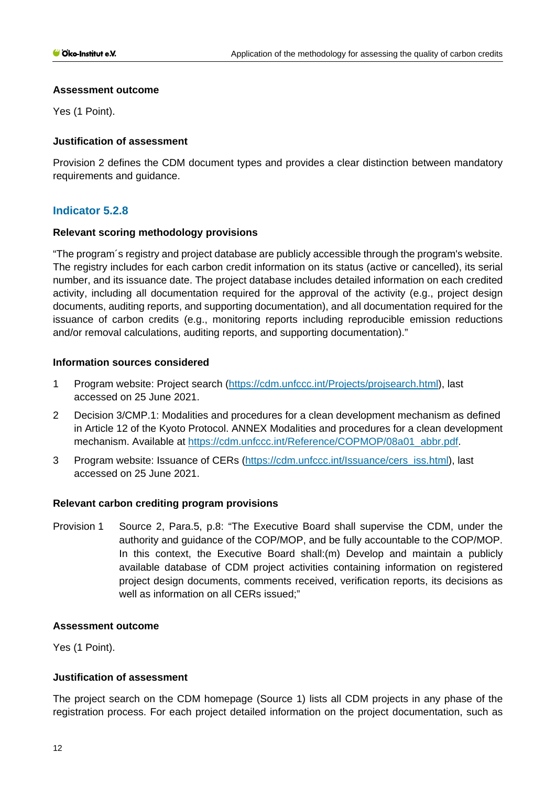## **Assessment outcome**

Yes (1 Point).

# **Justification of assessment**

Provision 2 defines the CDM document types and provides a clear distinction between mandatory requirements and guidance.

# **Indicator 5.2.8**

# **Relevant scoring methodology provisions**

"The program´s registry and project database are publicly accessible through the program's website. The registry includes for each carbon credit information on its status (active or cancelled), its serial number, and its issuance date. The project database includes detailed information on each credited activity, including all documentation required for the approval of the activity (e.g., project design documents, auditing reports, and supporting documentation), and all documentation required for the issuance of carbon credits (e.g., monitoring reports including reproducible emission reductions and/or removal calculations, auditing reports, and supporting documentation)."

# **Information sources considered**

- 1 Program website: Project search [\(https://cdm.unfccc.int/Projects/projsearch.html\)](https://cdm.unfccc.int/Projects/projsearch.html), last accessed on 25 June 2021.
- 2 Decision 3/CMP.1: Modalities and procedures for a clean development mechanism as defined in Article 12 of the Kyoto Protocol. ANNEX Modalities and procedures for a clean development mechanism. Available at [https://cdm.unfccc.int/Reference/COPMOP/08a01\\_abbr.pdf.](https://cdm.unfccc.int/Reference/COPMOP/08a01_abbr.pdf)
- 3 Program website: Issuance of CERs [\(https://cdm.unfccc.int/Issuance/cers\\_iss.html\)](https://cdm.unfccc.int/Issuance/cers_iss.html), last accessed on 25 June 2021.

# **Relevant carbon crediting program provisions**

Provision 1 Source 2, Para.5, p.8: "The Executive Board shall supervise the CDM, under the authority and guidance of the COP/MOP, and be fully accountable to the COP/MOP. In this context, the Executive Board shall:(m) Develop and maintain a publicly available database of CDM project activities containing information on registered project design documents, comments received, verification reports, its decisions as well as information on all CERs issued;"

#### **Assessment outcome**

Yes (1 Point).

# **Justification of assessment**

The project search on the CDM homepage (Source 1) lists all CDM projects in any phase of the registration process. For each project detailed information on the project documentation, such as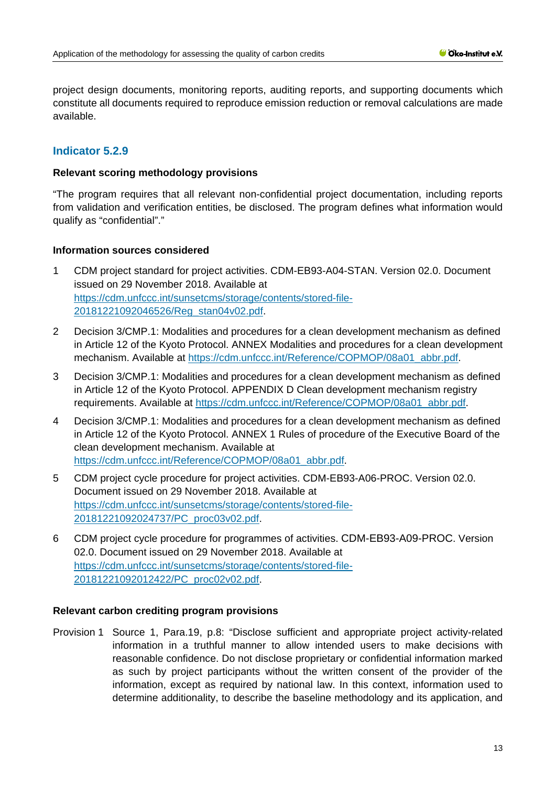project design documents, monitoring reports, auditing reports, and supporting documents which constitute all documents required to reproduce emission reduction or removal calculations are made available.

# **Indicator 5.2.9**

#### **Relevant scoring methodology provisions**

"The program requires that all relevant non-confidential project documentation, including reports from validation and verification entities, be disclosed. The program defines what information would qualify as "confidential"."

#### **Information sources considered**

- 1 CDM project standard for project activities. CDM-EB93-A04-STAN. Version 02.0. Document issued on 29 November 2018. Available at [https://cdm.unfccc.int/sunsetcms/storage/contents/stored-file-](https://cdm.unfccc.int/sunsetcms/storage/contents/stored-file-20181221092046526/Reg_stan04v02.pdf)[20181221092046526/Reg\\_stan04v02.pdf.](https://cdm.unfccc.int/sunsetcms/storage/contents/stored-file-20181221092046526/Reg_stan04v02.pdf)
- 2 Decision 3/CMP.1: Modalities and procedures for a clean development mechanism as defined in Article 12 of the Kyoto Protocol. ANNEX Modalities and procedures for a clean development mechanism. Available at [https://cdm.unfccc.int/Reference/COPMOP/08a01\\_abbr.pdf.](https://cdm.unfccc.int/Reference/COPMOP/08a01_abbr.pdf)
- 3 Decision 3/CMP.1: Modalities and procedures for a clean development mechanism as defined in Article 12 of the Kyoto Protocol. APPENDIX D Clean development mechanism registry requirements. Available at [https://cdm.unfccc.int/Reference/COPMOP/08a01\\_abbr.pdf.](https://cdm.unfccc.int/Reference/COPMOP/08a01_abbr.pdf)
- 4 Decision 3/CMP.1: Modalities and procedures for a clean development mechanism as defined in Article 12 of the Kyoto Protocol. ANNEX 1 Rules of procedure of the Executive Board of the clean development mechanism. Available at [https://cdm.unfccc.int/Reference/COPMOP/08a01\\_abbr.pdf.](https://cdm.unfccc.int/Reference/COPMOP/08a01_abbr.pdf)
- 5 CDM project cycle procedure for project activities. CDM-EB93-A06-PROC. Version 02.0. Document issued on 29 November 2018. Available at [https://cdm.unfccc.int/sunsetcms/storage/contents/stored-file-](https://cdm.unfccc.int/sunsetcms/storage/contents/stored-file-20181221092024737/PC_proc03v02.pdf)[20181221092024737/PC\\_proc03v02.pdf.](https://cdm.unfccc.int/sunsetcms/storage/contents/stored-file-20181221092024737/PC_proc03v02.pdf)
- 6 CDM project cycle procedure for programmes of activities. CDM-EB93-A09-PROC. Version 02.0. Document issued on 29 November 2018. Available at [https://cdm.unfccc.int/sunsetcms/storage/contents/stored-file-](https://cdm.unfccc.int/sunsetcms/storage/contents/stored-file-20181221092012422/PC_proc02v02.pdf)[20181221092012422/PC\\_proc02v02.pdf.](https://cdm.unfccc.int/sunsetcms/storage/contents/stored-file-20181221092012422/PC_proc02v02.pdf)

# **Relevant carbon crediting program provisions**

Provision 1 Source 1, Para.19, p.8: "Disclose sufficient and appropriate project activity-related information in a truthful manner to allow intended users to make decisions with reasonable confidence. Do not disclose proprietary or confidential information marked as such by project participants without the written consent of the provider of the information, except as required by national law. In this context, information used to determine additionality, to describe the baseline methodology and its application, and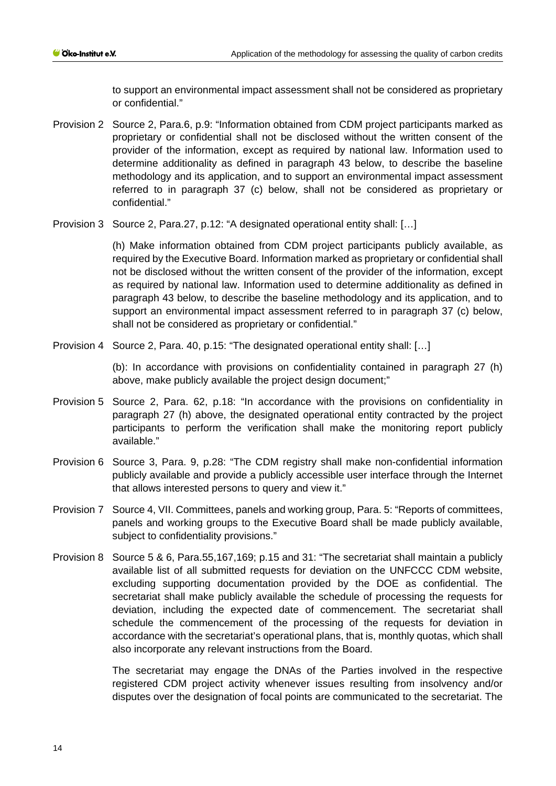to support an environmental impact assessment shall not be considered as proprietary or confidential."

- Provision 2 Source 2, Para.6, p.9: "Information obtained from CDM project participants marked as proprietary or confidential shall not be disclosed without the written consent of the provider of the information, except as required by national law. Information used to determine additionality as defined in paragraph 43 below, to describe the baseline methodology and its application, and to support an environmental impact assessment referred to in paragraph 37 (c) below, shall not be considered as proprietary or confidential."
- Provision 3 Source 2, Para.27, p.12: "A designated operational entity shall: […]

(h) Make information obtained from CDM project participants publicly available, as required by the Executive Board. Information marked as proprietary or confidential shall not be disclosed without the written consent of the provider of the information, except as required by national law. Information used to determine additionality as defined in paragraph 43 below, to describe the baseline methodology and its application, and to support an environmental impact assessment referred to in paragraph 37 (c) below, shall not be considered as proprietary or confidential."

Provision 4 Source 2, Para. 40, p.15: "The designated operational entity shall: […]

(b): In accordance with provisions on confidentiality contained in paragraph 27 (h) above, make publicly available the project design document;"

- Provision 5 Source 2, Para. 62, p.18: "In accordance with the provisions on confidentiality in paragraph 27 (h) above, the designated operational entity contracted by the project participants to perform the verification shall make the monitoring report publicly available."
- Provision 6 Source 3, Para. 9, p.28: "The CDM registry shall make non-confidential information publicly available and provide a publicly accessible user interface through the Internet that allows interested persons to query and view it."
- Provision 7 Source 4, VII. Committees, panels and working group, Para. 5: "Reports of committees, panels and working groups to the Executive Board shall be made publicly available, subject to confidentiality provisions."
- Provision 8 Source 5 & 6, Para.55,167,169; p.15 and 31: "The secretariat shall maintain a publicly available list of all submitted requests for deviation on the UNFCCC CDM website, excluding supporting documentation provided by the DOE as confidential. The secretariat shall make publicly available the schedule of processing the requests for deviation, including the expected date of commencement. The secretariat shall schedule the commencement of the processing of the requests for deviation in accordance with the secretariat's operational plans, that is, monthly quotas, which shall also incorporate any relevant instructions from the Board.

The secretariat may engage the DNAs of the Parties involved in the respective registered CDM project activity whenever issues resulting from insolvency and/or disputes over the designation of focal points are communicated to the secretariat. The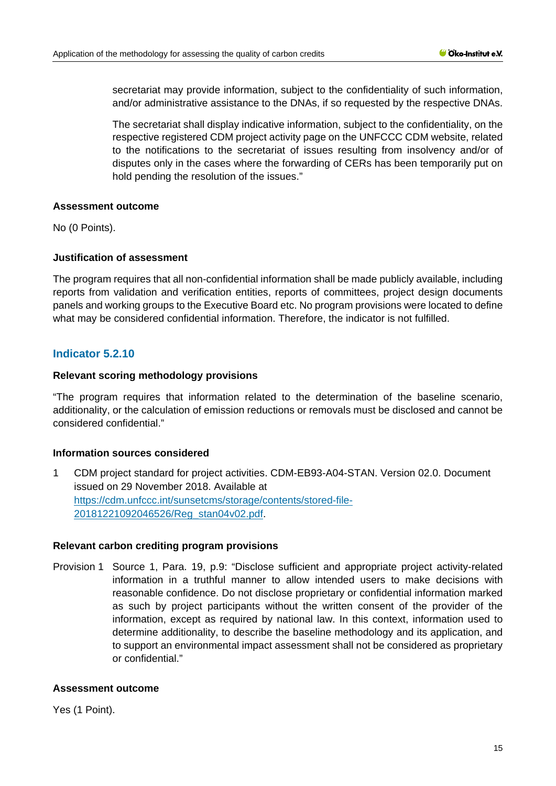secretariat may provide information, subject to the confidentiality of such information, and/or administrative assistance to the DNAs, if so requested by the respective DNAs.

The secretariat shall display indicative information, subject to the confidentiality, on the respective registered CDM project activity page on the UNFCCC CDM website, related to the notifications to the secretariat of issues resulting from insolvency and/or of disputes only in the cases where the forwarding of CERs has been temporarily put on hold pending the resolution of the issues."

#### **Assessment outcome**

No (0 Points).

# **Justification of assessment**

The program requires that all non-confidential information shall be made publicly available, including reports from validation and verification entities, reports of committees, project design documents panels and working groups to the Executive Board etc. No program provisions were located to define what may be considered confidential information. Therefore, the indicator is not fulfilled.

# **Indicator 5.2.10**

### **Relevant scoring methodology provisions**

"The program requires that information related to the determination of the baseline scenario, additionality, or the calculation of emission reductions or removals must be disclosed and cannot be considered confidential."

# **Information sources considered**

1 CDM project standard for project activities. CDM-EB93-A04-STAN. Version 02.0. Document issued on 29 November 2018. Available at [https://cdm.unfccc.int/sunsetcms/storage/contents/stored-file-](https://cdm.unfccc.int/sunsetcms/storage/contents/stored-file-20181221092046526/Reg_stan04v02.pdf)[20181221092046526/Reg\\_stan04v02.pdf.](https://cdm.unfccc.int/sunsetcms/storage/contents/stored-file-20181221092046526/Reg_stan04v02.pdf)

#### **Relevant carbon crediting program provisions**

Provision 1 Source 1, Para. 19, p.9: "Disclose sufficient and appropriate project activity-related information in a truthful manner to allow intended users to make decisions with reasonable confidence. Do not disclose proprietary or confidential information marked as such by project participants without the written consent of the provider of the information, except as required by national law. In this context, information used to determine additionality, to describe the baseline methodology and its application, and to support an environmental impact assessment shall not be considered as proprietary or confidential."

#### **Assessment outcome**

Yes (1 Point).